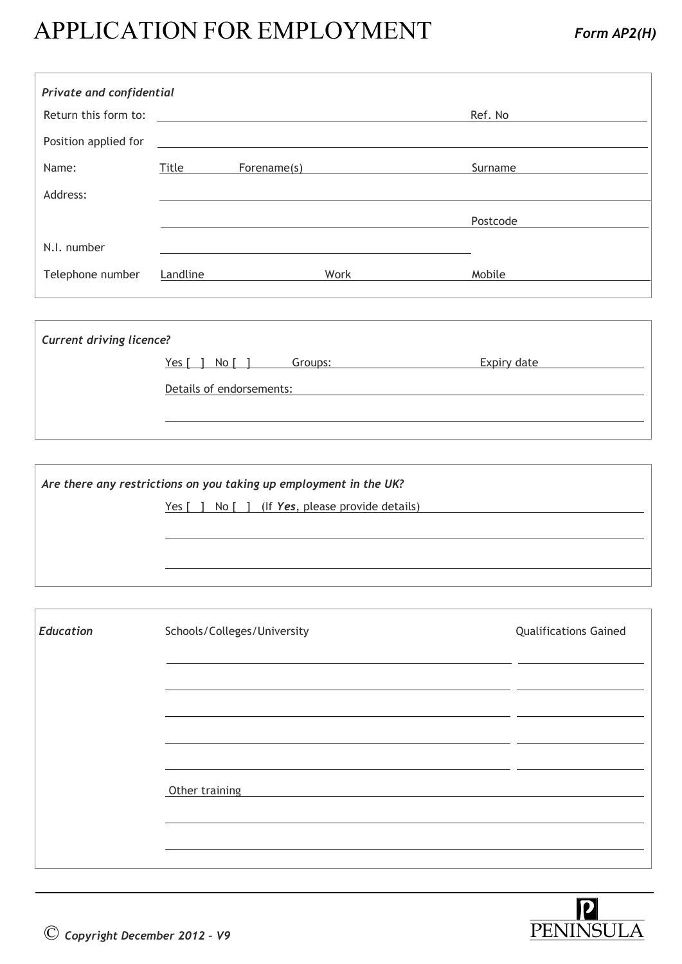## APPLICATION FOR EMPLOYMENT *Form AP2(H)*

| Private and confidential |          |             |      |          |
|--------------------------|----------|-------------|------|----------|
| Return this form to:     |          |             |      | Ref. No  |
| Position applied for     |          |             |      |          |
| Name:                    | Title    | Forename(s) |      | Surname  |
| Address:                 |          |             |      |          |
|                          |          |             |      | Postcode |
| N.I. number              |          |             |      |          |
| Telephone number         | Landline |             | Work | Mobile   |
|                          |          |             |      |          |

| <b>Current driving licence?</b> |                                 |             |  |  |
|---------------------------------|---------------------------------|-------------|--|--|
|                                 | Yes $\lceil$<br>No [<br>Groups: | Expiry date |  |  |
|                                 | Details of endorsements:        |             |  |  |
|                                 |                                 |             |  |  |

| Are there any restrictions on you taking up employment in the UK? |                                                                                            |  |  |
|-------------------------------------------------------------------|--------------------------------------------------------------------------------------------|--|--|
|                                                                   | <u>Yes <math>\lceil</math> 1 No <math>\lceil</math> 1 (If Yes, please provide details)</u> |  |  |
|                                                                   |                                                                                            |  |  |
|                                                                   |                                                                                            |  |  |
|                                                                   |                                                                                            |  |  |
|                                                                   |                                                                                            |  |  |

| <b>Education</b> | Schools/Colleges/University | <b>Qualifications Gained</b> |
|------------------|-----------------------------|------------------------------|
|                  |                             |                              |
|                  |                             |                              |
|                  |                             |                              |
|                  |                             |                              |
|                  | Other training              |                              |
|                  |                             |                              |
|                  |                             |                              |

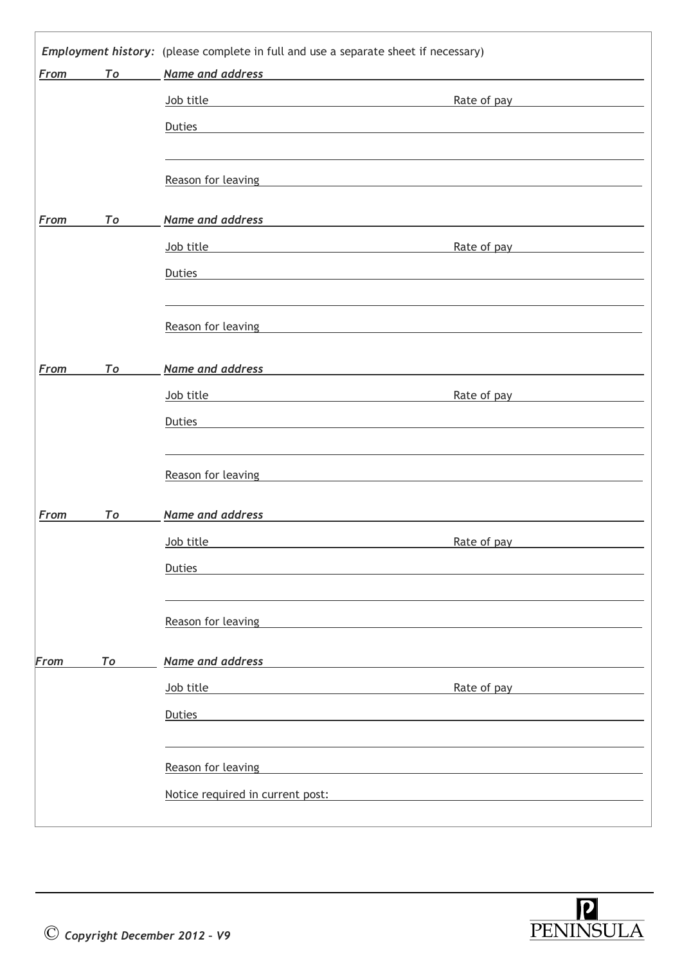| From | To | Name and address                                                                  |                                                              |
|------|----|-----------------------------------------------------------------------------------|--------------------------------------------------------------|
|      |    | Job title<br><u> 1980 - Johann Barn, mars an t-Amerikaansk politiker (* 1908)</u> | Rate of pay                                                  |
|      |    | <b>Duties</b>                                                                     |                                                              |
|      |    |                                                                                   |                                                              |
|      |    | Reason for leaving                                                                |                                                              |
|      |    |                                                                                   |                                                              |
| From | To | Name and address                                                                  |                                                              |
|      |    | Job title                                                                         | Rate of pay                                                  |
|      |    | <b>Duties</b>                                                                     |                                                              |
|      |    |                                                                                   |                                                              |
|      |    | Reason for leaving                                                                |                                                              |
|      |    |                                                                                   |                                                              |
| From | To | Name and address                                                                  |                                                              |
|      |    | Job title                                                                         | Rate of pay                                                  |
|      |    | Duties                                                                            |                                                              |
|      |    |                                                                                   |                                                              |
|      |    | Reason for leaving                                                                |                                                              |
|      |    |                                                                                   |                                                              |
| From | To | Name and address                                                                  |                                                              |
|      |    | Job title                                                                         | Rate of pay                                                  |
|      |    | Duties                                                                            |                                                              |
|      |    |                                                                                   |                                                              |
|      |    | Reason for leaving                                                                |                                                              |
|      |    |                                                                                   |                                                              |
| From | To | Name and address                                                                  |                                                              |
|      |    | Job title                                                                         | Rate of pay                                                  |
|      |    | Duties                                                                            |                                                              |
|      |    |                                                                                   |                                                              |
|      |    | Reason for leaving                                                                | <u> 1980 - Jan Sterling Sterling, amerikansk politiker (</u> |
|      |    | Notice required in current post:                                                  | <u> 1989 - John Stein, Amerikaansk politiker (</u>           |

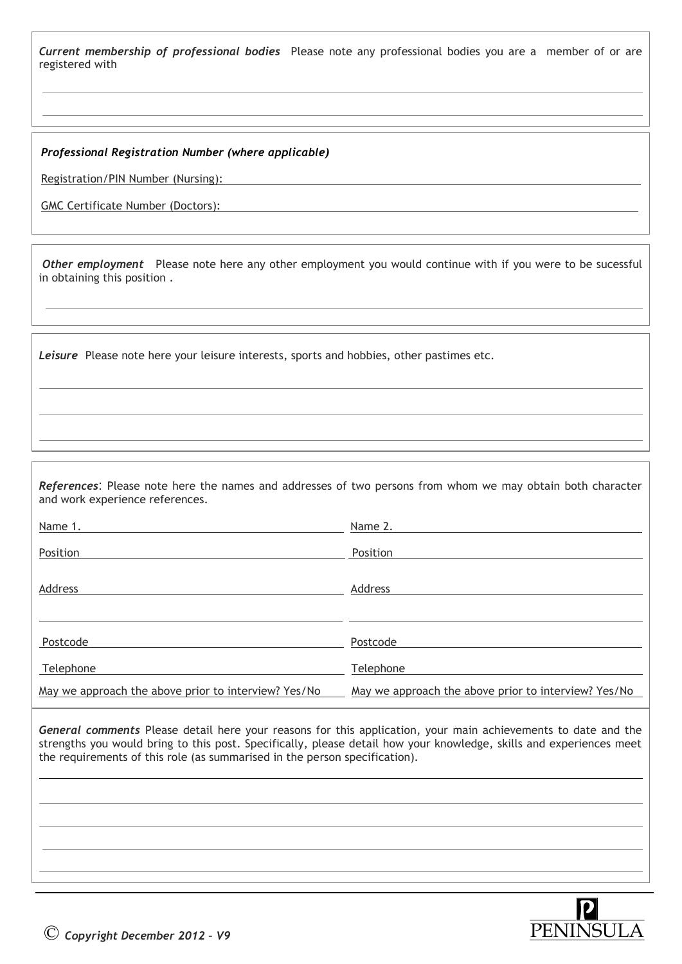*Current membership of professional bodies* Please note any professional bodies you are a member of or are registered with

*Professional Registration Number (where applicable)*

Registration/PIN Number (Nursing):

 $\overline{a}$  $\overline{a}$ 

 $\overline{a}$ 

GMC Certificate Number (Doctors):

*Other employment* Please note here any other employment you would continue with if you were to be sucessful in obtaining this position .

*Leisure* Please note here your leisure interests, sports and hobbies, other pastimes etc.

*References*: Please note here the names and addresses of two persons from whom we may obtain both character and work experience references.

| Name 1.                                              | Name 2.                                              |
|------------------------------------------------------|------------------------------------------------------|
| Position                                             | Position                                             |
| Address                                              | Address                                              |
| Postcode                                             | Postcode                                             |
| Telephone                                            | Telephone                                            |
| May we approach the above prior to interview? Yes/No | May we approach the above prior to interview? Yes/No |

*General comments* Please detail here your reasons for this application, your main achievements to date and the strengths you would bring to this post. Specifically, please detail how your knowledge, skills and experiences meet the requirements of this role (as summarised in the person specification).



 $\overline{a}$ 

 $\overline{a}$  $\overline{a}$  $\overline{a}$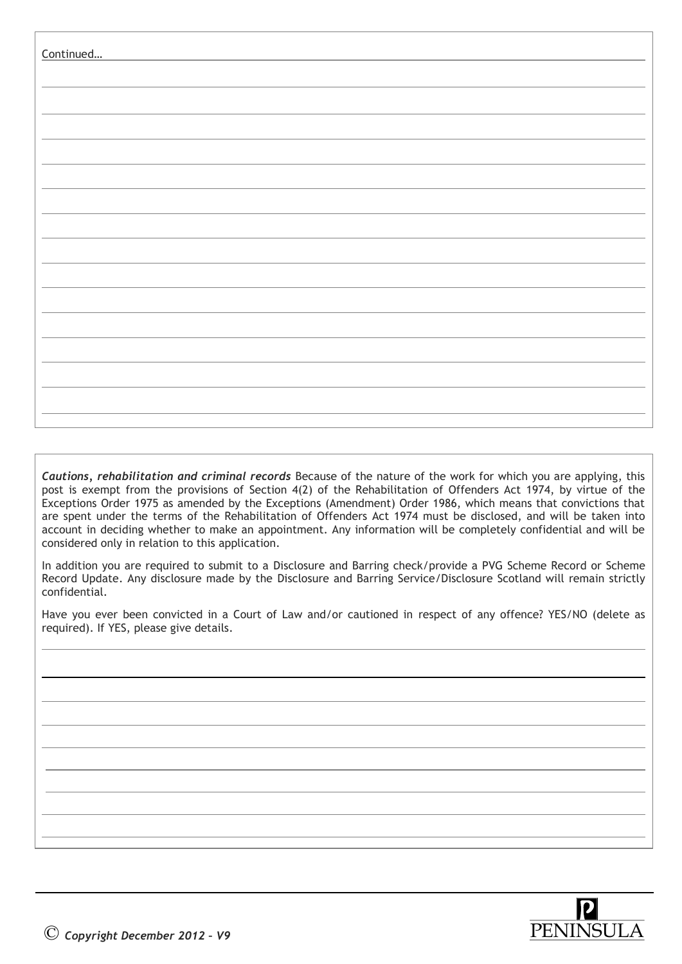| Continued |  |
|-----------|--|
|           |  |
|           |  |
|           |  |
|           |  |
|           |  |
|           |  |
|           |  |
|           |  |
|           |  |
|           |  |
|           |  |
|           |  |

*Cautions, rehabilitation and criminal records* Because of the nature of the work for which you are applying, this post is exempt from the provisions of Section 4(2) of the Rehabilitation of Offenders Act 1974, by virtue of the Exceptions Order 1975 as amended by the Exceptions (Amendment) Order 1986, which means that convictions that are spent under the terms of the Rehabilitation of Offenders Act 1974 must be disclosed, and will be taken into account in deciding whether to make an appointment. Any information will be completely confidential and will be considered only in relation to this application.

In addition you are required to submit to a Disclosure and Barring check/provide a PVG Scheme Record or Scheme Record Update. Any disclosure made by the Disclosure and Barring Service/Disclosure Scotland will remain strictly confidential.

Have you ever been convicted in a Court of Law and/or cautioned in respect of any offence? YES/NO (delete as required). If YES, please give details.



 $\overline{a}$ 

 $\overline{a}$ 

 $\overline{a}$ 

 $\overline{a}$  $\overline{a}$  $\overline{a}$ 

 $\overline{a}$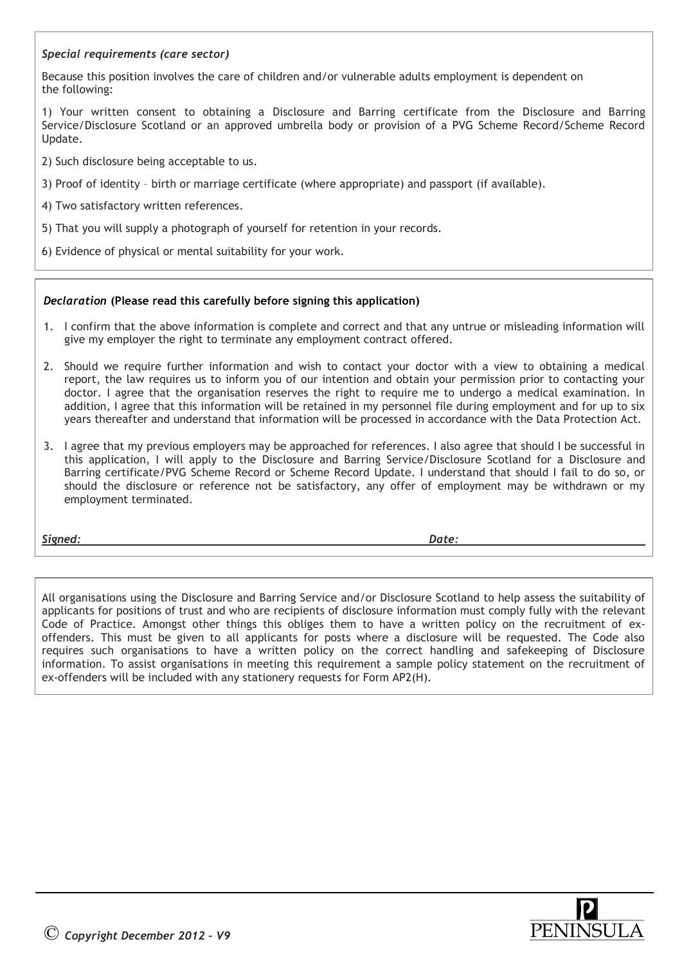## *Special requirements (care sector)*

Because this position involves the care of children and/or vulnerable adults employment is dependent on the following:

1) Your written consent to obtaining a Disclosure and Barring certificate from the Disclosure and Barring Service/Disclosure Scotland or an approved umbrella body or provision of a PVG Scheme Record/Scheme Record Update.

2) Such disclosure being acceptable to us.

- 3) Proof of identity birth or marriage certificate (where appropriate) and passport (if available).
- 4) Two satisfactory written references.
- 5) That you will supply a photograph of yourself for retention in your records.
- 6) Evidence of physical or mental suitability for your work.

## *Declaration* **(Please read this carefully before signing this application)**

- 1. I confirm that the above information is complete and correct and that any untrue or misleading information will give my employer the right to terminate any employment contract offered.
- 2. Should we require further information and wish to contact your doctor with a view to obtaining a medical report, the law requires us to inform you of our intention and obtain your permission prior to contacting your doctor. I agree that the organisation reserves the right to require me to undergo a medical examination. In addition, I agree that this information will be retained in my personnel file during employment and for up to six years thereafter and understand that information will be processed in accordance with the Data Protection Act.
- 3. I agree that my previous employers may be approached for references. I also agree that should I be successful in this application, I will apply to the Disclosure and Barring Service/Disclosure Scotland for a Disclosure and Barring certificate/PVG Scheme Record or Scheme Record Update. I understand that should I fail to do so, or should the disclosure or reference not be satisfactory, any offer of employment may be withdrawn or my employment terminated.

*Signed: Date:* 

All organisations using the Disclosure and Barring Service and/or Disclosure Scotland to help assess the suitability of applicants for positions of trust and who are recipients of disclosure information must comply fully with the relevant Code of Practice. Amongst other things this obliges them to have a written policy on the recruitment of exoffenders. This must be given to all applicants for posts where a disclosure will be requested. The Code also requires such organisations to have a written policy on the correct handling and safekeeping of Disclosure information. To assist organisations in meeting this requirement a sample policy statement on the recruitment of ex-offenders will be included with any stationery requests for Form AP2(H).